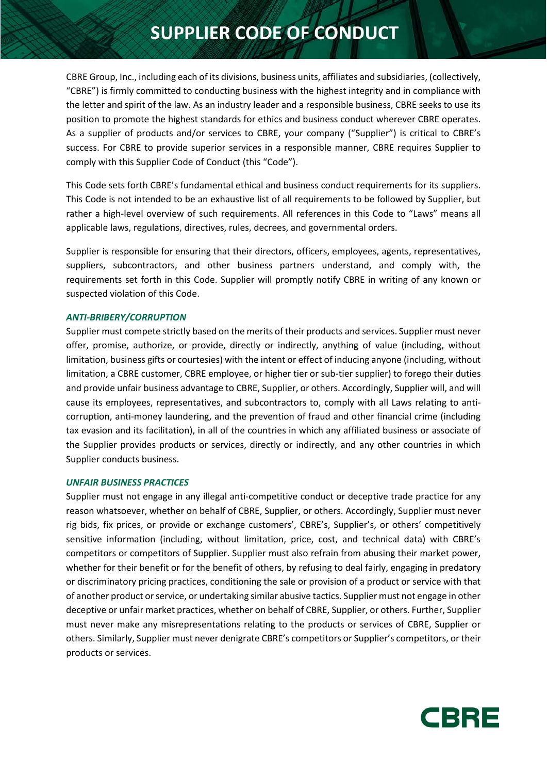# **SUPPLIER CODE OF CONDUCT**

CBRE Group, Inc., including each of its divisions, business units, affiliates and subsidiaries, (collectively, "CBRE") is firmly committed to conducting business with the highest integrity and in compliance with the letter and spirit of the law. As an industry leader and a responsible business, CBRE seeks to use its position to promote the highest standards for ethics and business conduct wherever CBRE operates. As a supplier of products and/or services to CBRE, your company ("Supplier") is critical to CBRE's success. For CBRE to provide superior services in a responsible manner, CBRE requires Supplier to comply with this Supplier Code of Conduct (this "Code").

This Code sets forth CBRE's fundamental ethical and business conduct requirements for its suppliers. This Code is not intended to be an exhaustive list of all requirements to be followed by Supplier, but rather a high-level overview of such requirements. All references in this Code to "Laws" means all applicable laws, regulations, directives, rules, decrees, and governmental orders.

Supplier is responsible for ensuring that their directors, officers, employees, agents, representatives, suppliers, subcontractors, and other business partners understand, and comply with, the requirements set forth in this Code. Supplier will promptly notify CBRE in writing of any known or suspected violation of this Code.

#### *ANTI-BRIBERY/CORRUPTION*

Supplier must compete strictly based on the merits of their products and services. Supplier must never offer, promise, authorize, or provide, directly or indirectly, anything of value (including, without limitation, business gifts or courtesies) with the intent or effect of inducing anyone (including, without limitation, a CBRE customer, CBRE employee, or higher tier or sub-tier supplier) to forego their duties and provide unfair business advantage to CBRE, Supplier, or others. Accordingly, Supplier will, and will cause its employees, representatives, and subcontractors to, comply with all Laws relating to anticorruption, anti-money laundering, and the prevention of fraud and other financial crime (including tax evasion and its facilitation), in all of the countries in which any affiliated business or associate of the Supplier provides products or services, directly or indirectly, and any other countries in which Supplier conducts business.

#### *UNFAIR BUSINESS PRACTICES*

Supplier must not engage in any illegal anti-competitive conduct or deceptive trade practice for any reason whatsoever, whether on behalf of CBRE, Supplier, or others. Accordingly, Supplier must never rig bids, fix prices, or provide or exchange customers', CBRE's, Supplier's, or others' competitively sensitive information (including, without limitation, price, cost, and technical data) with CBRE's competitors or competitors of Supplier. Supplier must also refrain from abusing their market power, whether for their benefit or for the benefit of others, by refusing to deal fairly, engaging in predatory or discriminatory pricing practices, conditioning the sale or provision of a product or service with that of another product or service, or undertaking similar abusive tactics. Supplier must not engage in other deceptive or unfair market practices, whether on behalf of CBRE, Supplier, or others. Further, Supplier must never make any misrepresentations relating to the products or services of CBRE, Supplier or others. Similarly, Supplier must never denigrate CBRE's competitors or Supplier's competitors, or their products or services.

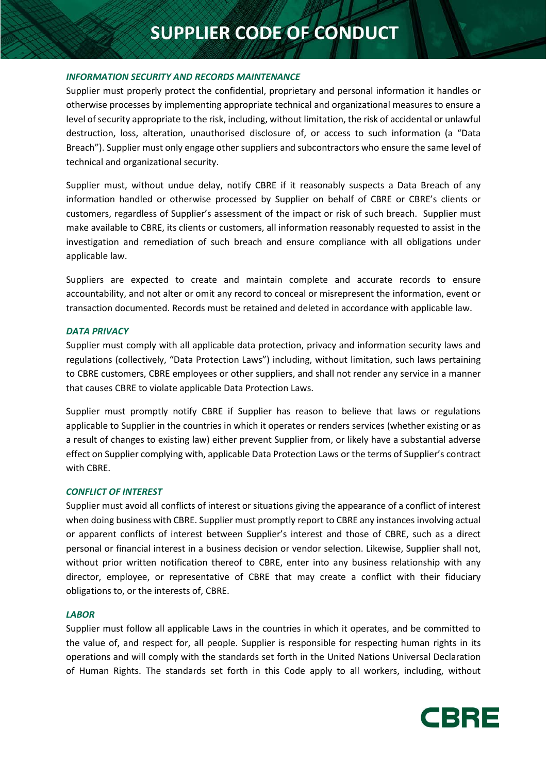# **SUPPLIER CODE OF CONDUCT**

# *INFORMATION SECURITY AND RECORDS MAINTENANCE*

Supplier must properly protect the confidential, proprietary and personal information it handles or otherwise processes by implementing appropriate technical and organizational measures to ensure a level of security appropriate to the risk, including, without limitation, the risk of accidental or unlawful destruction, loss, alteration, unauthorised disclosure of, or access to such information (a "Data Breach"). Supplier must only engage other suppliers and subcontractors who ensure the same level of technical and organizational security.

Supplier must, without undue delay, notify CBRE if it reasonably suspects a Data Breach of any information handled or otherwise processed by Supplier on behalf of CBRE or CBRE's clients or customers, regardless of Supplier's assessment of the impact or risk of such breach. Supplier must make available to CBRE, its clients or customers, all information reasonably requested to assist in the investigation and remediation of such breach and ensure compliance with all obligations under applicable law.

Suppliers are expected to create and maintain complete and accurate records to ensure accountability, and not alter or omit any record to conceal or misrepresent the information, event or transaction documented. Records must be retained and deleted in accordance with applicable law.

# *DATA PRIVACY*

Supplier must comply with all applicable data protection, privacy and information security laws and regulations (collectively, "Data Protection Laws") including, without limitation, such laws pertaining to CBRE customers, CBRE employees or other suppliers, and shall not render any service in a manner that causes CBRE to violate applicable Data Protection Laws.

Supplier must promptly notify CBRE if Supplier has reason to believe that laws or regulations applicable to Supplier in the countries in which it operates or renders services (whether existing or as a result of changes to existing law) either prevent Supplier from, or likely have a substantial adverse effect on Supplier complying with, applicable Data Protection Laws or the terms of Supplier's contract with CBRE.

#### *CONFLICT OF INTEREST*

Supplier must avoid all conflicts of interest or situations giving the appearance of a conflict of interest when doing business with CBRE. Supplier must promptly report to CBRE any instances involving actual or apparent conflicts of interest between Supplier's interest and those of CBRE, such as a direct personal or financial interest in a business decision or vendor selection. Likewise, Supplier shall not, without prior written notification thereof to CBRE, enter into any business relationship with any director, employee, or representative of CBRE that may create a conflict with their fiduciary obligations to, or the interests of, CBRE.

# *LABOR*

Supplier must follow all applicable Laws in the countries in which it operates, and be committed to the value of, and respect for, all people. Supplier is responsible for respecting human rights in its operations and will comply with the standards set forth in the United Nations Universal Declaration of Human Rights. The standards set forth in this Code apply to all workers, including, without

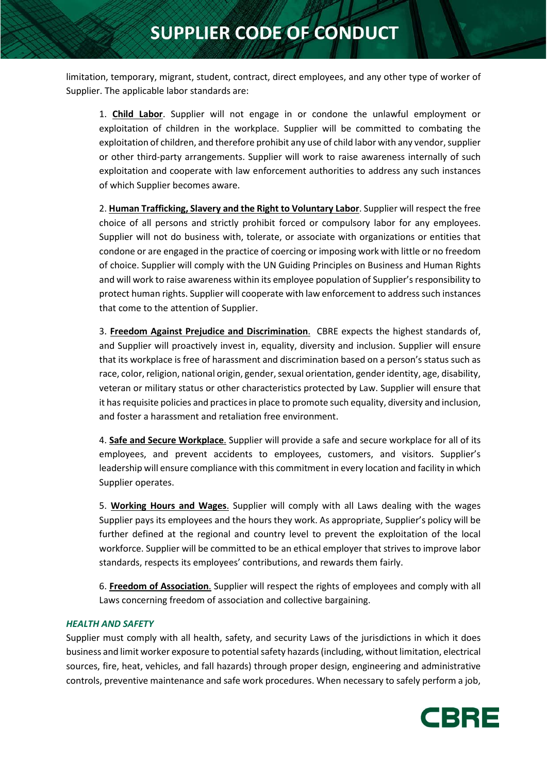limitation, temporary, migrant, student, contract, direct employees, and any other type of worker of Supplier. The applicable labor standards are:

1. **Child Labor**. Supplier will not engage in or condone the unlawful employment or exploitation of children in the workplace. Supplier will be committed to combating the exploitation of children, and therefore prohibit any use of child labor with any vendor, supplier or other third-party arrangements. Supplier will work to raise awareness internally of such exploitation and cooperate with law enforcement authorities to address any such instances of which Supplier becomes aware.

2. **Human Trafficking, Slavery and the Right to Voluntary Labor**. Supplier will respect the free choice of all persons and strictly prohibit forced or compulsory labor for any employees. Supplier will not do business with, tolerate, or associate with organizations or entities that condone or are engaged in the practice of coercing or imposing work with little or no freedom of choice. Supplier will comply with the UN Guiding Principles on Business and Human Rights and will work to raise awareness within its employee population of Supplier's responsibility to protect human rights. Supplier will cooperate with law enforcement to address such instances that come to the attention of Supplier.

3. **Freedom Against Prejudice and Discrimination**. CBRE expects the highest standards of, and Supplier will proactively invest in, equality, diversity and inclusion. Supplier will ensure that its workplace is free of harassment and discrimination based on a person's status such as race, color, religion, national origin, gender, sexual orientation, gender identity, age, disability, veteran or military status or other characteristics protected by Law. Supplier will ensure that it has requisite policies and practices in place to promote such equality, diversity and inclusion, and foster a harassment and retaliation free environment.

4. **Safe and Secure Workplace**. Supplier will provide a safe and secure workplace for all of its employees, and prevent accidents to employees, customers, and visitors. Supplier's leadership will ensure compliance with this commitment in every location and facility in which Supplier operates.

5. **Working Hours and Wages**. Supplier will comply with all Laws dealing with the wages Supplier pays its employees and the hours they work. As appropriate, Supplier's policy will be further defined at the regional and country level to prevent the exploitation of the local workforce. Supplier will be committed to be an ethical employer that strives to improve labor standards, respects its employees' contributions, and rewards them fairly.

6. **Freedom of Association**. Supplier will respect the rights of employees and comply with all Laws concerning freedom of association and collective bargaining.

# *HEALTH AND SAFETY*

Supplier must comply with all health, safety, and security Laws of the jurisdictions in which it does business and limit worker exposure to potential safety hazards (including, without limitation, electrical sources, fire, heat, vehicles, and fall hazards) through proper design, engineering and administrative controls, preventive maintenance and safe work procedures. When necessary to safely perform a job,

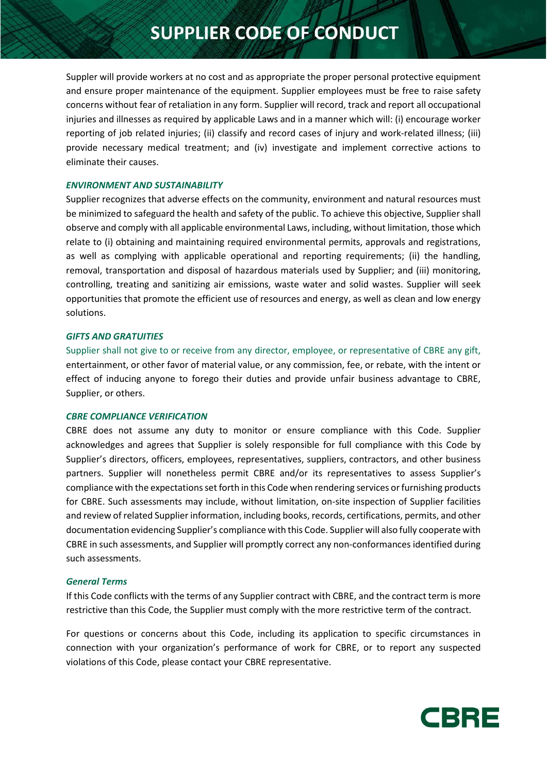Suppler will provide workers at no cost and as appropriate the proper personal protective equipment and ensure proper maintenance of the equipment. Supplier employees must be free to raise safety concerns without fear of retaliation in any form. Supplier will record, track and report all occupational injuries and illnesses as required by applicable Laws and in a manner which will: (i) encourage worker reporting of job related injuries; (ii) classify and record cases of injury and work-related illness; (iii) provide necessary medical treatment; and (iv) investigate and implement corrective actions to eliminate their causes.

# *ENVIRONMENT AND SUSTAINABILITY*

Supplier recognizes that adverse effects on the community, environment and natural resources must be minimized to safeguard the health and safety of the public. To achieve this objective, Supplier shall observe and comply with all applicable environmental Laws, including, without limitation, those which relate to (i) obtaining and maintaining required environmental permits, approvals and registrations, as well as complying with applicable operational and reporting requirements; (ii) the handling, removal, transportation and disposal of hazardous materials used by Supplier; and (iii) monitoring, controlling, treating and sanitizing air emissions, waste water and solid wastes. Supplier will seek opportunities that promote the efficient use of resources and energy, as well as clean and low energy solutions.

# *GIFTS AND GRATUITIES*

Supplier shall not give to or receive from any director, employee, or representative of CBRE any gift, entertainment, or other favor of material value, or any commission, fee, or rebate, with the intent or effect of inducing anyone to forego their duties and provide unfair business advantage to CBRE, Supplier, or others.

#### *CBRE COMPLIANCE VERIFICATION*

CBRE does not assume any duty to monitor or ensure compliance with this Code. Supplier acknowledges and agrees that Supplier is solely responsible for full compliance with this Code by Supplier's directors, officers, employees, representatives, suppliers, contractors, and other business partners. Supplier will nonetheless permit CBRE and/or its representatives to assess Supplier's compliance with the expectations set forth in this Code when rendering services or furnishing products for CBRE. Such assessments may include, without limitation, on-site inspection of Supplier facilities and review of related Supplier information, including books, records, certifications, permits, and other documentation evidencing Supplier's compliance with this Code. Supplier will also fully cooperate with CBRE in such assessments, and Supplier will promptly correct any non-conformances identified during such assessments.

#### *General Terms*

If this Code conflicts with the terms of any Supplier contract with CBRE, and the contract term is more restrictive than this Code, the Supplier must comply with the more restrictive term of the contract.

For questions or concerns about this Code, including its application to specific circumstances in connection with your organization's performance of work for CBRE, or to report any suspected violations of this Code, please contact your CBRE representative.